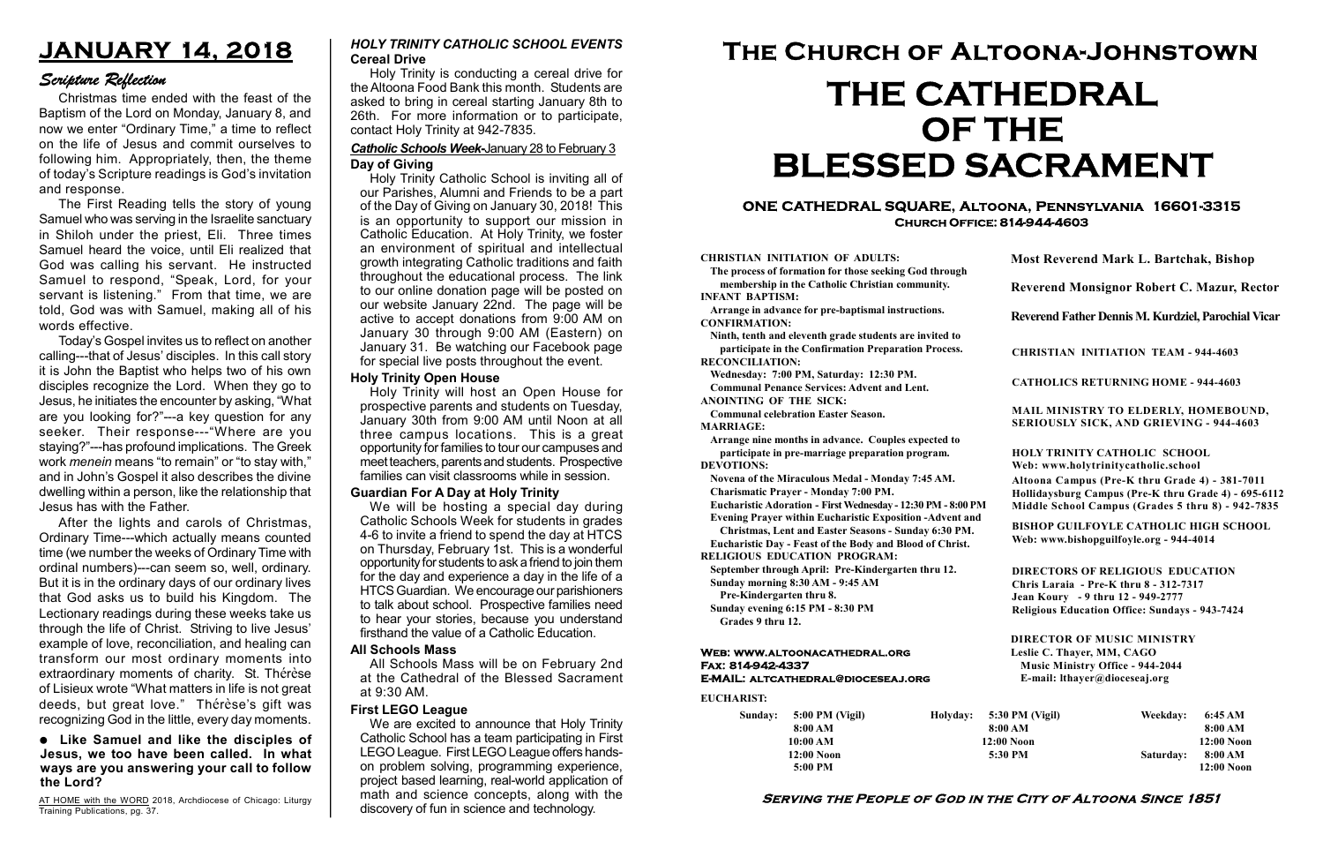# Serving the People of God in the City of Altoona Since 1851

| Sunday: | $5:00$ PM (Vigil) |  |
|---------|-------------------|--|
|         | 8:00 AM           |  |
|         | 10:00 AM          |  |
|         | $12:00$ Noon      |  |
|         | $5:00$ PM         |  |

Holyday:

#### Web: www.altoonacathedral.org Fax: 814-942-4337 E-MAIL: altcathedral@dioceseaj.org

EUCHARIST:

#### CHRISTIAN INITIATION OF ADULTS:

The process of formation for those seeking God through membership in the Catholic Christian community. INFANT BAPTISM:

Arrange in advance for pre-baptismal instructions. CONFIRMATION:

Ninth, tenth and eleventh grade students are invited to participate in the Confirmation Preparation Process. RECONCILIATION:

Wednesday: 7:00 PM, Saturday: 12:30 PM. Communal Penance Services: Advent and Lent.

ANOINTING OF THE SICK:

Communal celebration Easter Season. MARRIAGE:

Arrange nine months in advance. Couples expected to participate in pre-marriage preparation program. DEVOTIONS:

Novena of the Miraculous Medal - Monday 7:45 AM.

Charismatic Prayer - Monday 7:00 PM. Eucharistic Adoration - First Wednesday - 12:30 PM - 8:00 PM

Evening Prayer within Eucharistic Exposition -Advent and

Christmas, Lent and Easter Seasons - Sunday 6:30 PM.

|                         | <b>Most Reverend Mark L. Bartchak, Bishop</b>                                                                                                                                   |           |                         |  |  |  |
|-------------------------|---------------------------------------------------------------------------------------------------------------------------------------------------------------------------------|-----------|-------------------------|--|--|--|
|                         | <b>Reverend Monsignor Robert C. Mazur, Rector</b>                                                                                                                               |           |                         |  |  |  |
|                         | Reverend Father Dennis M. Kurdziel, Parochial Vicar                                                                                                                             |           |                         |  |  |  |
|                         | <b>CHRISTIAN INITIATION TEAM - 944-4603</b>                                                                                                                                     |           |                         |  |  |  |
|                         | <b>CATHOLICS RETURNING HOME - 944-4603</b>                                                                                                                                      |           |                         |  |  |  |
|                         | MAIL MINISTRY TO ELDERLY, HOMEBOUND,<br>SERIOUSLY SICK, AND GRIEVING - 944-4603                                                                                                 |           |                         |  |  |  |
|                         | HOLY TRINITY CATHOLIC SCHOOL<br>Web: www.holytrinitycatholic.school                                                                                                             |           |                         |  |  |  |
| М                       | Altoona Campus (Pre-K thru Grade 4) - 381-7011<br>Hollidaysburg Campus (Pre-K thru Grade 4) - 695-6112<br>Middle School Campus (Grades 5 thru 8) - 942-7835                     |           |                         |  |  |  |
| ł                       | <b>BISHOP GUILFOYLE CATHOLIC HIGH SCHOOL</b><br>Web: www.bishopguilfoyle.org - 944-4014                                                                                         |           |                         |  |  |  |
|                         | <b>DIRECTORS OF RELIGIOUS EDUCATION</b><br>Chris Laraia - Pre-K thru 8 - 312-7317<br>Jean Koury - 9 thru 12 - 949-2777<br><b>Religious Education Office: Sundays - 943-7424</b> |           |                         |  |  |  |
|                         | <b>DIRECTOR OF MUSIC MINISTRY</b><br>Leslie C. Thayer, MM, CAGO<br><b>Music Ministry Office - 944-2044</b><br>E-mail: lthayer@dioceseaj.org                                     |           |                         |  |  |  |
|                         | 5:30 PM (Vigil)                                                                                                                                                                 | Weekday:  | 6:45 AM                 |  |  |  |
| 8:00 AM<br>$12:00$ Noon |                                                                                                                                                                                 |           | 8:00 AM<br>$12:00$ Noon |  |  |  |
|                         | 5:30 PM                                                                                                                                                                         | Saturday: | 8:00 AM                 |  |  |  |
|                         |                                                                                                                                                                                 |           | 12:00 Noon              |  |  |  |

Eucharistic Day - Feast of the Body and Blood of Christ.

RELIGIOUS EDUCATION PROGRAM:

September through April: Pre-Kindergarten thru 12. Sunday morning 8:30 AM - 9:45 AM

AT HOME with the WORD 2018, Archdiocese of Chicago: Liturgy Training Publications, pg. 37.

Pre-Kindergarten thru 8.

Sunday evening 6:15 PM - 8:30 PM Grades 9 thru 12.

# ONE CATHEDRAL SQUARE, Altoona, Pennsylvania 16601-3315 Church Office: 814-944-4603

# The Church of Altoona-Johnstown THE CATHEDRAL OF THE BLESSED SACRAMENT

# JANUARY 14, 2018

# Scripture Reflection

#### Like Samuel and like the disciples of Jesus, we too have been called. In what ways are you answering your call to follow the Lord?

Christmas time ended with the feast of the Baptism of the Lord on Monday, January 8, and now we enter "Ordinary Time," a time to reflect on the life of Jesus and commit ourselves to following him. Appropriately, then, the theme of today's Scripture readings is God's invitation and response.

The First Reading tells the story of young Samuel who was serving in the Israelite sanctuary in Shiloh under the priest, Eli. Three times Samuel heard the voice, until Eli realized that God was calling his servant. He instructed Samuel to respond, "Speak, Lord, for your servant is listening." From that time, we are told, God was with Samuel, making all of his words effective.

Today's Gospel invites us to reflect on another calling---that of Jesus' disciples. In this call story it is John the Baptist who helps two of his own disciples recognize the Lord. When they go to Jesus, he initiates the encounter by asking, "What are you looking for?"---a key question for any seeker. Their response---"Where are you staying?"---has profound implications. The Greek work menein means "to remain" or "to stay with," and in John's Gospel it also describes the divine dwelling within a person, like the relationship that Jesus has with the Father.

After the lights and carols of Christmas, Ordinary Time---which actually means counted time (we number the weeks of Ordinary Time with ordinal numbers)---can seem so, well, ordinary. But it is in the ordinary days of our ordinary lives that God asks us to build his Kingdom. The Lectionary readings during these weeks take us through the life of Christ. Striving to live Jesus' example of love, reconciliation, and healing can transform our most ordinary moments into extraordinary moments of charity. St. Thérèse of Lisieux wrote "What matters in life is not great deeds, but great love." Thérèse's gift was recognizing God in the little, every day moments.

Holy Trinity is conducting a cereal drive for the Altoona Food Bank this month. Students are asked to bring in cereal starting January 8th to 26th. For more information or to participate, contact Holy Trinity at 942-7835.

# Cereal Drive HOLY TRINITY CATHOLIC SCHOOL EVENTS

## Catholic Schools Week-January 28 to February 3 Day of Giving

Holy Trinity Catholic School is inviting all of our Parishes, Alumni and Friends to be a part of the Day of Giving on January 30, 2018! This is an opportunity to support our mission in Catholic Education. At Holy Trinity, we foster an environment of spiritual and intellectual growth integrating Catholic traditions and faith throughout the educational process. The link to our online donation page will be posted on our website January 22nd. The page will be active to accept donations from 9:00 AM on January 30 through 9:00 AM (Eastern) on January 31. Be watching our Facebook page for special live posts throughout the event.

#### Holy Trinity Open House

Holy Trinity will host an Open House for prospective parents and students on Tuesday, January 30th from 9:00 AM until Noon at all three campus locations. This is a great opportunity for families to tour our campuses and meet teachers, parents and students. Prospective families can visit classrooms while in session.

# Guardian For A Day at Holy Trinity

We will be hosting a special day during Catholic Schools Week for students in grades 4-6 to invite a friend to spend the day at HTCS on Thursday, February 1st. This is a wonderful opportunity for students to ask a friend to join them for the day and experience a day in the life of a HTCS Guardian. We encourage our parishioners to talk about school. Prospective families need to hear your stories, because you understand firsthand the value of a Catholic Education.

# All Schools Mass

All Schools Mass will be on February 2nd at the Cathedral of the Blessed Sacrament at 9:30 AM.

# First LEGO League

We are excited to announce that Holy Trinity Catholic School has a team participating in First LEGO League. First LEGO League offers handson problem solving, programming experience, project based learning, real-world application of math and science concepts, along with the discovery of fun in science and technology.